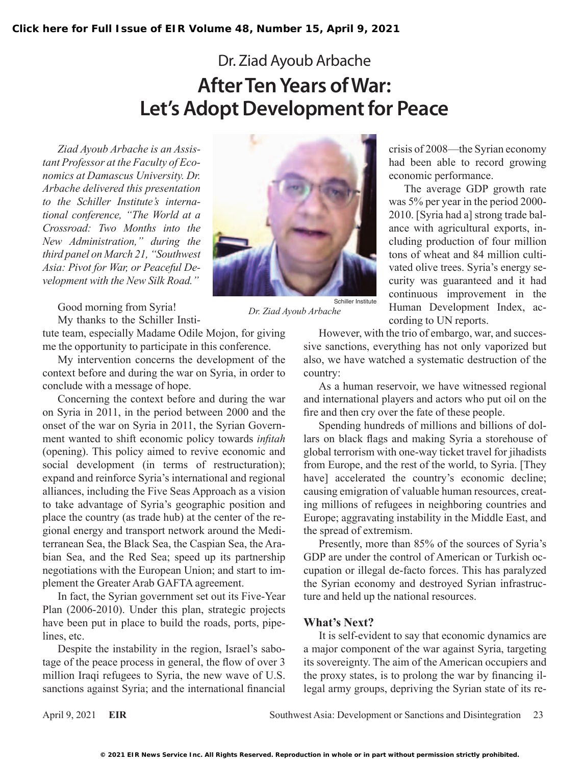## Dr. Ziad Ayoub Arbache **After Ten Years of War: Let's Adopt Development for Peace**

*Ziad Ayoub Arbache is an Assistant Professor at the Faculty of Economics at Damascus University. Dr. Arbache delivered this presentation to the Schiller Institute's international conference, "The World at a Crossroad: Two Months into the New Administration," during the third panel on March 21, "Southwest Asia: Pivot for War, or Peaceful Development with the New Silk Road."*

Good morning from Syria!

My thanks to the Schiller Insti-

tute team, especially Madame Odile Mojon, for giving me the opportunity to participate in this conference.

My intervention concerns the development of the context before and during the war on Syria, in order to conclude with a message of hope.

Concerning the context before and during the war on Syria in 2011, in the period between 2000 and the onset of the war on Syria in 2011, the Syrian Government wanted to shift economic policy towards *infitah* (opening). This policy aimed to revive economic and social development (in terms of restructuration); expand and reinforce Syria's international and regional alliances, including the Five Seas Approach as a vision to take advantage of Syria's geographic position and place the country (as trade hub) at the center of the regional energy and transport network around the Mediterranean Sea, the Black Sea, the Caspian Sea, the Arabian Sea, and the Red Sea; speed up its partnership negotiations with the European Union; and start to implement the Greater Arab GAFTA agreement.

In fact, the Syrian government set out its Five-Year Plan (2006-2010). Under this plan, strategic projects have been put in place to build the roads, ports, pipelines, etc.

Despite the instability in the region, Israel's sabotage of the peace process in general, the flow of over 3 million Iraqi refugees to Syria, the new wave of U.S. sanctions against Syria; and the international financial



*Dr. Ziad Ayoub Arbache*

crisis of 2008—the Syrian economy had been able to record growing economic performance.

The average GDP growth rate was 5% per year in the period 2000- 2010. [Syria had a] strong trade balance with agricultural exports, including production of four million tons of wheat and 84 million cultivated olive trees. Syria's energy security was guaranteed and it had continuous improvement in the Human Development Index, according to UN reports.

However, with the trio of embargo, war, and successive sanctions, everything has not only vaporized but also, we have watched a systematic destruction of the country:

As a human reservoir, we have witnessed regional and international players and actors who put oil on the fire and then cry over the fate of these people.

Spending hundreds of millions and billions of dollars on black flags and making Syria a storehouse of global terrorism with one-way ticket travel for jihadists from Europe, and the rest of the world, to Syria. [They have] accelerated the country's economic decline; causing emigration of valuable human resources, creating millions of refugees in neighboring countries and Europe; aggravating instability in the Middle East, and the spread of extremism.

Presently, more than 85% of the sources of Syria's GDP are under the control of American or Turkish occupation or illegal de-facto forces. This has paralyzed the Syrian economy and destroyed Syrian infrastructure and held up the national resources.

## **What's Next?**

It is self-evident to say that economic dynamics are a major component of the war against Syria, targeting its sovereignty. The aim of the American occupiers and the proxy states, is to prolong the war by financing illegal army groups, depriving the Syrian state of its re-